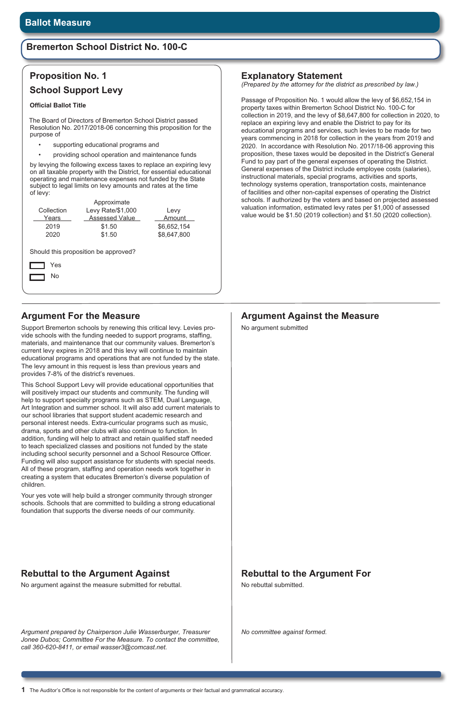### **Argument For the Measure**

Support Bremerton schools by renewing this critical levy. Levies provide schools with the funding needed to support programs, staffing, materials, and maintenance that our community values. Bremerton's current levy expires in 2018 and this levy will continue to maintain educational programs and operations that are not funded by the state. The levy amount in this request is less than previous years and provides 7-8% of the district's revenues.

This School Support Levy will provide educational opportunities that will positively impact our students and community. The funding will help to support specialty programs such as STEM, Dual Language, Art Integration and summer school. It will also add current materials to our school libraries that support student academic research and personal interest needs. Extra-curricular programs such as music, drama, sports and other clubs will also continue to function. In addition, funding will help to attract and retain qualified staff needed to teach specialized classes and positions not funded by the state including school security personnel and a School Resource Officer. Funding will also support assistance for students with special needs. All of these program, staffing and operation needs work together in creating a system that educates Bremerton's diverse population of children.

- supporting educational programs and
- providing school operation and maintenance funds

Your yes vote will help build a stronger community through stronger schools. Schools that are committed to building a strong educational foundation that supports the diverse needs of our community.

### **Rebuttal to the Argument Against**

No argument against the measure submitted for rebuttal.

# **Rebuttal to the Argument For**

No rebuttal submitted.

# **Proposition No. 1 School Support Levy**

#### **Official Ballot Title**

The Board of Directors of Bremerton School District passed Resolution No. 2017/2018-06 concerning this proposition for the purpose of

by levying the following excess taxes to replace an expiring levy on all taxable property with the District, for essential educational operating and maintenance expenses not funded by the State subject to legal limits on levy amounts and rates at the time of levy:

|                                                   | Approximate           |             |  |  |  |  |
|---------------------------------------------------|-----------------------|-------------|--|--|--|--|
| Collection                                        | Levy Rate/\$1,000     | Levy        |  |  |  |  |
| Years                                             | <b>Assessed Value</b> | Amount      |  |  |  |  |
| 2019                                              | \$1.50                | \$6,652,154 |  |  |  |  |
| 2020                                              | \$1.50                | \$8,647,800 |  |  |  |  |
| Should this proposition be approved?<br>Yes<br>No |                       |             |  |  |  |  |

*Argument prepared by Chairperson Julie Wasserburger, Treasurer Jonee Dubos; Committee For the Measure. To contact the committee, call 360-620-8411, or email wasser3@comcast.net.* 

# **Argument Against the Measure**

No argument submitted

*No committee against formed.* 

# **Bremerton School District No. 100-C**

### **Explanatory Statement**

*(Prepared by the attorney for the district as prescribed by law.)*

Passage of Proposition No. 1 would allow the levy of \$6,652,154 in property taxes within Bremerton School District No. 100-C for collection in 2019, and the levy of \$8,647,800 for collection in 2020, to replace an expiring levy and enable the District to pay for its educational programs and services, such levies to be made for two years commencing in 2018 for collection in the years from 2019 and 2020. In accordance with Resolution No. 2017/18-06 approving this proposition, these taxes would be deposited in the District's General Fund to pay part of the general expenses of operating the District. General expenses of the District include employee costs (salaries), instructional materials, special programs, activities and sports, technology systems operation, transportation costs, maintenance of facilities and other non-capital expenses of operating the District schools. If authorized by the voters and based on projected assessed valuation information, estimated levy rates per \$1,000 of assessed value would be \$1.50 (2019 collection) and \$1.50 (2020 collection).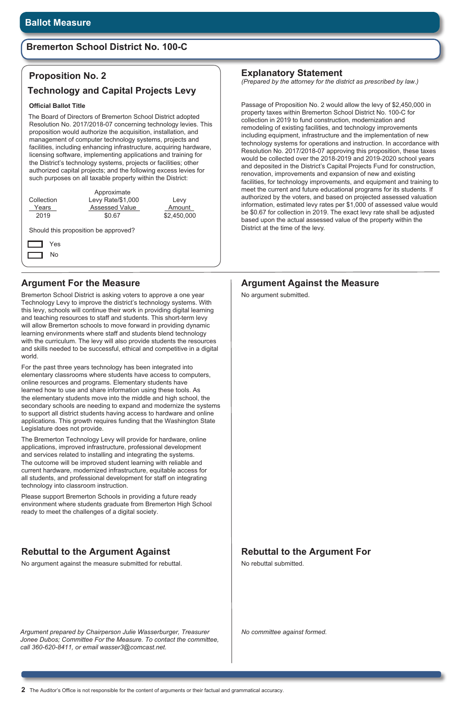# **Bremerton School District No. 100-C**

### **Argument For the Measure**

Bremerton School District is asking voters to approve a one year Technology Levy to improve the district's technology systems. With this levy, schools will continue their work in providing digital learning and teaching resources to staff and students. This short-term levy will allow Bremerton schools to move forward in providing dynamic learning environments where staff and students blend technology with the curriculum. The levy will also provide students the resources and skills needed to be successful, ethical and competitive in a digital world.

For the past three years technology has been integrated into elementary classrooms where students have access to computers, online resources and programs. Elementary students have learned how to use and share information using these tools. As the elementary students move into the middle and high school, the secondary schools are needing to expand and modernize the systems to support all district students having access to hardware and online applications. This growth requires funding that the Washington State Legislature does not provide.

The Bremerton Technology Levy will provide for hardware, online applications, improved infrastructure, professional development and services related to installing and integrating the systems. The outcome will be improved student learning with reliable and current hardware, modernized infrastructure, equitable access for all students, and professional development for staff on integrating technology into classroom instruction.

Please support Bremerton Schools in providing a future ready environment where students graduate from Bremerton High School ready to meet the challenges of a digital society.

*Argument prepared by Chairperson Julie Wasserburger, Treasurer Jonee Dubos; Committee For the Measure. To contact the committee, call 360-620-8411, or email wasser3@comcast.net.* 

# **Argument Against the Measure**

No argument submitted.

*No committee against formed.* 

### **Explanatory Statement**

*(Prepared by the attorney for the district as prescribed by law.)*

Passage of Proposition No. 2 would allow the levy of \$2,450,000 in property taxes within Bremerton School District No. 100-C for collection in 2019 to fund construction, modernization and remodeling of existing facilities, and technology improvements including equipment, infrastructure and the implementation of new technology systems for operations and instruction. In accordance with Resolution No. 2017/2018-07 approving this proposition, these taxes would be collected over the 2018-2019 and 2019-2020 school years and deposited in the District's Capital Projects Fund for construction, renovation, improvements and expansion of new and existing facilities, for technology improvements, and equipment and training to meet the current and future educational programs for its students. If authorized by the voters, and based on projected assessed valuation information, estimated levy rates per \$1,000 of assessed value would be \$0.67 for collection in 2019. The exact levy rate shall be adjusted based upon the actual assessed value of the property within the District at the time of the levy.

# **Proposition No. 2**

### **Technology and Capital Projects Levy**

#### **Official Ballot Title**

The Board of Directors of Bremerton School District adopted Resolution No. 2017/2018-07 concerning technology levies. This proposition would authorize the acquisition, installation, and management of computer technology systems, projects and facilities, including enhancing infrastructure, acquiring hardware, licensing software, implementing applications and training for the District's technology systems, projects or facilities; other authorized capital projects; and the following excess levies for such purposes on all taxable property within the District:

| Collection<br>Years<br>2019          | Approximate<br>Levy Rate/\$1,000<br><b>Assessed Value</b><br>\$0.67 | Levy<br>Amount<br>\$2,450,000 |  |  |  |  |
|--------------------------------------|---------------------------------------------------------------------|-------------------------------|--|--|--|--|
| Should this proposition be approved? |                                                                     |                               |  |  |  |  |
| Yes                                  |                                                                     |                               |  |  |  |  |
| No                                   |                                                                     |                               |  |  |  |  |
|                                      |                                                                     |                               |  |  |  |  |

### **Rebuttal to the Argument Against**

No argument against the measure submitted for rebuttal.

### **Rebuttal to the Argument For**

No rebuttal submitted.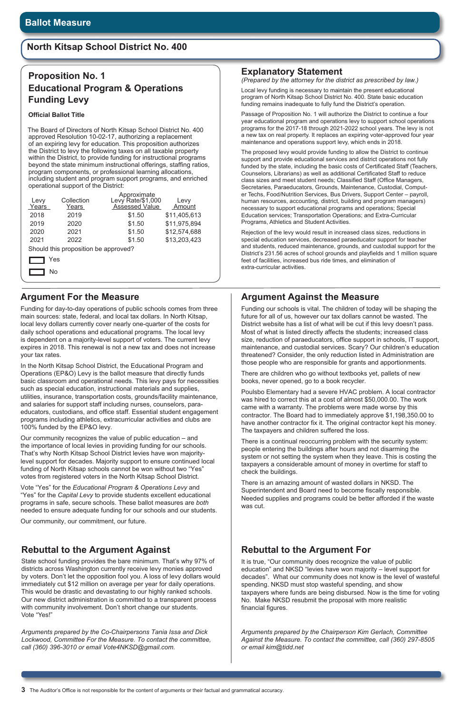# **North Kitsap School District No. 400**

### **Argument For the Measure**

Funding for day-to-day operations of public schools comes from three main sources: state, federal, and local tax dollars. In North Kitsap, local levy dollars currently cover nearly one-quarter of the costs for daily school operations and educational programs. The local levy is dependent on a majority-level support of voters. The current levy expires in 2018. This renewal is not a new tax and does not increase your tax rates.

In the North Kitsap School District, the Educational Program and Operations (EP&O) Levy is the ballot measure that directly funds basic classroom and operational needs. This levy pays for necessities such as special education, instructional materials and supplies, utilities, insurance, transportation costs, grounds/facility maintenance, and salaries for support staff including nurses, counselors, paraeducators, custodians, and office staff. Essential student engagement programs including athletics, extracurricular activities and clubs are 100% funded by the EP&O levy.

Our community recognizes the value of public education – and the importance of local levies in providing funding for our schools. That's why North Kitsap School District levies have won majoritylevel support for decades. Majority support to ensure continued local funding of North Kitsap schools cannot be won without two "Yes" votes from registered voters in the North Kitsap School District.

Vote "Yes" for the *Educational Program & Operations Levy* and "Yes" for the *Capital Levy* to provide students excellent educational programs in safe, secure schools. These ballot measures are *both* needed to ensure adequate funding for our schools and our students.

#### Our community, our commitment, our future.

### **Rebuttal to the Argument Against**

State school funding provides the bare minimum. That's why 97% of districts across Washington currently receive levy monies approved by voters. Don't let the opposition fool you. A loss of levy dollars would immediately cut \$12 million on average per year for daily operations. This would be drastic and devastating to our highly ranked schools. Our new district administration is committed to a transparent process with community involvement. Don't short change our students. Vote "Yes!"

### **Rebuttal to the Argument For**

It is true, "Our community does recognize the value of public education" and NKSD "levies have won majority – level support for decades". What our community does not know is the level of wasteful spending. NKSD must stop wasteful spending, and show taxpayers where funds are being disbursed. Now is the time for voting No. Make NKSD resubmit the proposal with more realistic financial figures.

*Arguments prepared by the Co-Chairpersons Tania Issa and Dick Lockwood, Committee For the Measure. To contact the committee, call (360) 396-3010 or email Vote4NKSD@gmail.com.* 

### **Argument Against the Measure**

Funding our schools is vital. The children of today will be shaping the future for all of us, however our tax dollars cannot be wasted. The District website has a list of what will be cut if this levy doesn't pass. Most of what is listed directly affects the students; increased class size, reduction of paraeducators, office support in schools, IT support, maintenance, and custodial services. Scary? Our children's education threatened? Consider, the only reduction listed in Administration are those people who are responsible for grants and apportionments.

There are children who go without textbooks yet, pallets of new books, never opened, go to a book recycler.

Poulsbo Elementary had a severe HVAC problem. A local contractor was hired to correct this at a cost of almost \$50,000.00. The work came with a warranty. The problems were made worse by this contractor. The Board had to immediately approve \$1,198,350.00 to have another contractor fix it. The original contractor kept his money. The taxpayers and children suffered the loss.

There is a continual reoccurring problem with the security system: people entering the buildings after hours and not disarming the system or not setting the system when they leave. This is costing the taxpayers a considerable amount of money in overtime for staff to check the buildings.

There is an amazing amount of wasted dollars in NKSD. The Superintendent and Board need to become fiscally responsible. Needed supplies and programs could be better afforded if the waste was cut.

*Arguments prepared by the Chairperson Kim Gerlach, Committee Against the Measure. To contact the committee, call (360) 297-8505 or email kim@tidd.net*

# **Proposition No. 1 Educational Program & Operations Funding Levy**

#### **Official Ballot Title**

The Board of Directors of North Kitsap School District No. 400 approved Resolution 10-02-17, authorizing a replacement of an expiring levy for education. This proposition authorizes the District to levy the following taxes on all taxable property within the District, to provide funding for instructional programs beyond the state minimum instructional offerings, staffing ratios, program components, or professional learning allocations, including student and program support programs, and enriched operational support of the District:

|                                      |       |            | Approximate                         |              |  |  |
|--------------------------------------|-------|------------|-------------------------------------|--------------|--|--|
|                                      | Levy  | Collection | Levy Rate/\$1,000<br>Assessed Value | Levy         |  |  |
|                                      | Years | Years      |                                     | Amount       |  |  |
|                                      | 2018  | 2019       | \$1.50                              | \$11,405,613 |  |  |
|                                      | 2019  | 2020       | \$1.50                              | \$11,975,894 |  |  |
|                                      | 2020  | 2021       | \$1.50                              | \$12,574,688 |  |  |
|                                      | 2021  | 2022       | \$1.50                              | \$13,203,423 |  |  |
| Should this proposition be approved? |       |            |                                     |              |  |  |
| Yes                                  |       |            |                                     |              |  |  |
|                                      | No    |            |                                     |              |  |  |

### **Explanatory Statement**

*(Prepared by the attorney for the district as prescribed by law.)*

Local levy funding is necessary to maintain the present educational program of North Kitsap School District No. 400. State basic education funding remains inadequate to fully fund the District's operation.

Passage of Proposition No. 1 will authorize the District to continue a four year educational program and operations levy to support school operations programs for the 2017-18 through 2021-2022 school years. The levy is not a new tax on real property. It replaces an expiring voter-approved four year maintenance and operations support levy, which ends in 2018.

The proposed levy would provide funding to allow the District to continue support and provide educational services and district operations not fully funded by the state, including the basic costs of Certificated Staff (Teachers, Counselors, Librarians) as well as additional Certificated Staff to reduce class sizes and meet student needs; Classified Staff (Office Managers, Secretaries, Paraeducators, Grounds, Maintenance, Custodial, Computer Techs, Food/Nutrition Services, Bus Drivers, Support Center – payroll, human resources, accounting, district, building and program managers) necessary to support educational programs and operations; Special Education services; Transportation Operations; and Extra-Curricular Programs, Athletics and Student Activities.

Rejection of the levy would result in increased class sizes, reductions in special education services, decreased paraeducator support for teacher and students, reduced maintenance, grounds, and custodial support for the District's 231.56 acres of school grounds and playfields and 1 million square feet of facilities, increased bus ride times, and elimination of extra-curricular activities.